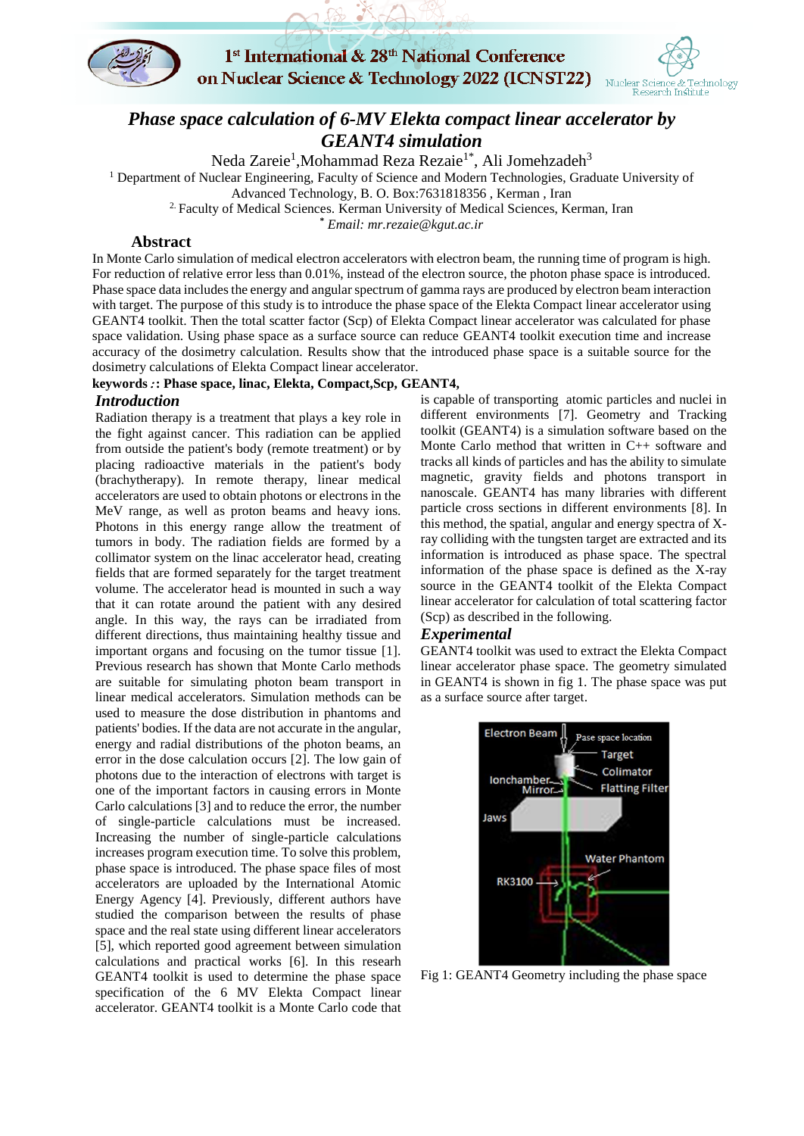

# 1st International & 28<sup>th</sup> National Conference on Nuclear Science & Technology 2022 (ICNST22)



## *Phase space calculation of 6-MV Elekta compact linear accelerator by GEANT4 simulation*

Neda Zareie<sup>1</sup>,Mohammad Reza Rezaie<sup>1\*</sup>, Ali Jomehzadeh<sup>3</sup>

<sup>1</sup> Department of Nuclear Engineering, Faculty of Science and Modern Technologies, Graduate University of

Advanced Technology, B. O. Box:7631818356 , Kerman , Iran

<sup>2.</sup> Faculty of Medical Sciences. Kerman University of Medical Sciences, Kerman, Iran

**\*** *Email: mr.rezaie@kgut.ac.ir*

#### **Abstract**

In Monte Carlo simulation of medical electron accelerators with electron beam, the running time of program is high. For reduction of relative error less than 0.01%, instead of the electron source, the photon phase space is introduced. Phase space data includes the energy and angular spectrum of gamma rays are produced by electron beam interaction with target. The purpose of this study is to introduce the phase space of the Elekta Compact linear accelerator using GEANT4 toolkit. Then the total scatter factor (Scp) of Elekta Compact linear accelerator was calculated for phase space validation. Using phase space as a surface source can reduce GEANT4 toolkit execution time and increase accuracy of the dosimetry calculation. Results show that the introduced phase space is a suitable source for the dosimetry calculations of Elekta Compact linear accelerator.

#### **keywords**:**: Phase space, linac, Elekta, Compact,Scp, GEANT4,**

#### *Introduction*

Radiation therapy is a treatment that plays a key role in the fight against cancer. This radiation can be applied from outside the patient's body (remote treatment) or by placing radioactive materials in the patient's body (brachytherapy). In remote therapy, linear medical accelerators are used to obtain photons or electrons in the MeV range, as well as proton beams and heavy ions. Photons in this energy range allow the treatment of tumors in body. The radiation fields are formed by a collimator system on the linac accelerator head, creating fields that are formed separately for the target treatment volume. The accelerator head is mounted in such a way that it can rotate around the patient with any desired angle. In this way, the rays can be irradiated from different directions, thus maintaining healthy tissue and important organs and focusing on the tumor tissue [1]. Previous research has shown that Monte Carlo methods are suitable for simulating photon beam transport in linear medical accelerators. Simulation methods can be used to measure the dose distribution in phantoms and patients' bodies. If the data are not accurate in the angular, energy and radial distributions of the photon beams, an error in the dose calculation occurs [2]. The low gain of photons due to the interaction of electrons with target is one of the important factors in causing errors in Monte Carlo calculations [3] and to reduce the error, the number of single-particle calculations must be increased. Increasing the number of single-particle calculations increases program execution time. To solve this problem, phase space is introduced. The phase space files of most accelerators are uploaded by the International Atomic Energy Agency [4]. Previously, different authors have studied the comparison between the results of phase space and the real state using different linear accelerators [5], which reported good agreement between simulation calculations and practical works [6]. In this researh GEANT4 toolkit is used to determine the phase space specification of the 6 MV Elekta Compact linear accelerator. GEANT4 toolkit is a Monte Carlo code that

is capable of transporting atomic particles and nuclei in different environments [7]. Geometry and Tracking toolkit (GEANT4) is a simulation software based on the Monte Carlo method that written in C++ software and tracks all kinds of particles and has the ability to simulate magnetic, gravity fields and photons transport in nanoscale. GEANT4 has many libraries with different particle cross sections in different environments [8]. In this method, the spatial, angular and energy spectra of Xray colliding with the tungsten target are extracted and its information is introduced as phase space. The spectral information of the phase space is defined as the X-ray source in the GEANT4 toolkit of the Elekta Compact linear accelerator for calculation of total scattering factor (Scp) as described in the following.

#### *Experimental*

GEANT4 toolkit was used to extract the Elekta Compact linear accelerator phase space. The geometry simulated in GEANT4 is shown in fig 1. The phase space was put as a surface source after target.



Fig 1: GEANT4 Geometry including the phase space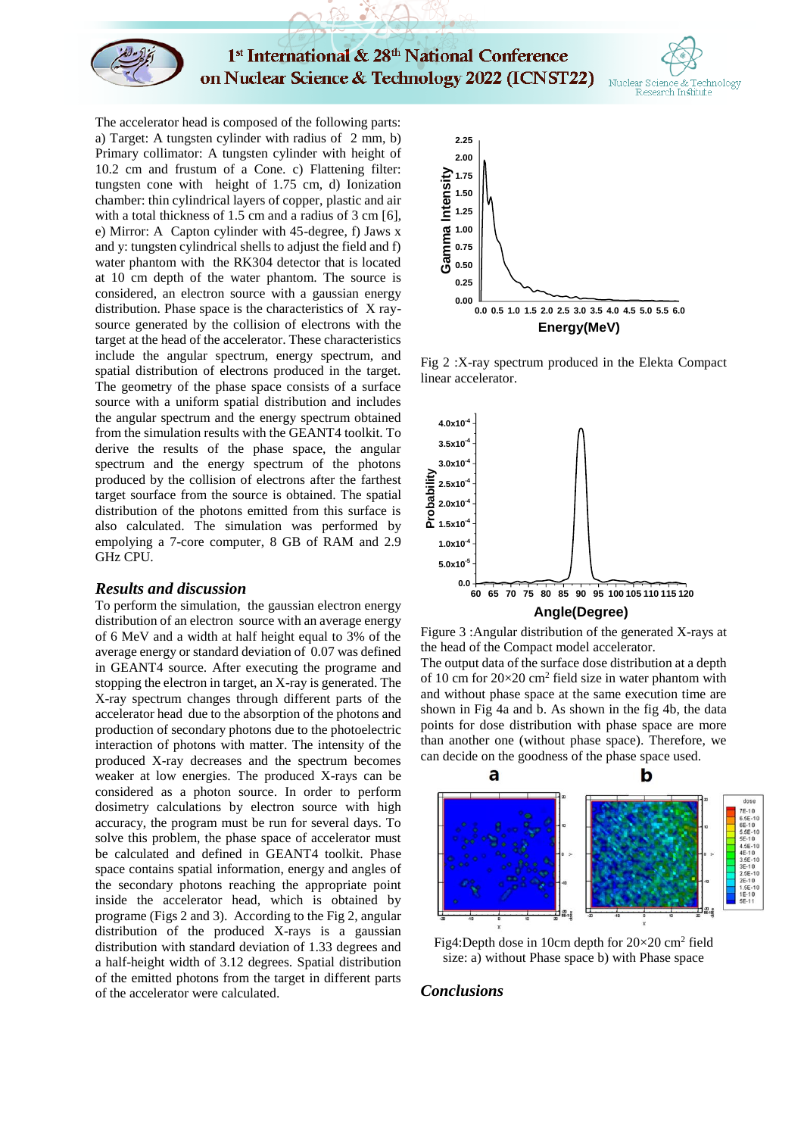

1st International & 28th National Conference on Nuclear Science & Technology 2022 (ICNST22)



The accelerator head is composed of the following parts: a) Target: A tungsten cylinder with radius of 2 mm, b) Primary collimator: A tungsten cylinder with height of 10.2 cm and frustum of a Cone. c) Flattening filter: tungsten cone with height of 1.75 cm, d) Ionization chamber: thin cylindrical layers of copper, plastic and air with a total thickness of 1.5 cm and a radius of 3 cm [6]. e) Mirror: A Capton cylinder with 45-degree, f) Jaws x and y: tungsten cylindrical shells to adjust the field and f) water phantom with the RK304 detector that is located at 10 cm depth of the water phantom. The source is considered, an electron source with a gaussian energy distribution. Phase space is the characteristics of X raysource generated by the collision of electrons with the target at the head of the accelerator. These characteristics include the angular spectrum, energy spectrum, and spatial distribution of electrons produced in the target. The geometry of the phase space consists of a surface source with a uniform spatial distribution and includes the angular spectrum and the energy spectrum obtained from the simulation results with the GEANT4 toolkit. To derive the results of the phase space, the angular spectrum and the energy spectrum of the photons produced by the collision of electrons after the farthest target sourface from the source is obtained. The spatial distribution of the photons emitted from this surface is also calculated. The simulation was performed by empolying a 7-core computer, 8 GB of RAM and 2.9 GHz CPU.

#### *Results and discussion*

To perform the simulation, the gaussian electron energy distribution of an electron source with an average energy of 6 MeV and a width at half height equal to 3% of the average energy or standard deviation of 0.07 was defined in GEANT4 source. After executing the programe and stopping the electron in target, an X-ray is generated. The X-ray spectrum changes through different parts of the accelerator head due to the absorption of the photons and production of secondary photons due to the photoelectric interaction of photons with matter. The intensity of the produced X-ray decreases and the spectrum becomes weaker at low energies. The produced X-rays can be considered as a photon source. In order to perform dosimetry calculations by electron source with high accuracy, the program must be run for several days. To solve this problem, the phase space of accelerator must be calculated and defined in GEANT4 toolkit. Phase space contains spatial information, energy and angles of the secondary photons reaching the appropriate point inside the accelerator head, which is obtained by programe (Figs 2 and 3). According to the Fig 2, angular distribution of the produced X-rays is a gaussian distribution with standard deviation of 1.33 degrees and a half-height width of 3.12 degrees. Spatial distribution of the emitted photons from the target in different parts of the accelerator were calculated.



Fig 2 :X-ray spectrum produced in the Elekta Compact linear accelerator.



Figure 3 :Angular distribution of the generated X-rays at the head of the Compact model accelerator.

The output data of the surface dose distribution at a depth of 10 cm for  $20 \times 20$  cm<sup>2</sup> field size in water phantom with and without phase space at the same execution time are shown in Fig 4a and b. As shown in the fig 4b, the data points for dose distribution with phase space are more than another one (without phase space). Therefore, we can decide on the goodness of the phase space used.



Fig4:Depth dose in 10cm depth for  $20 \times 20$  cm<sup>2</sup> field size: a) without Phase space b) with Phase space

#### *Conclusions*